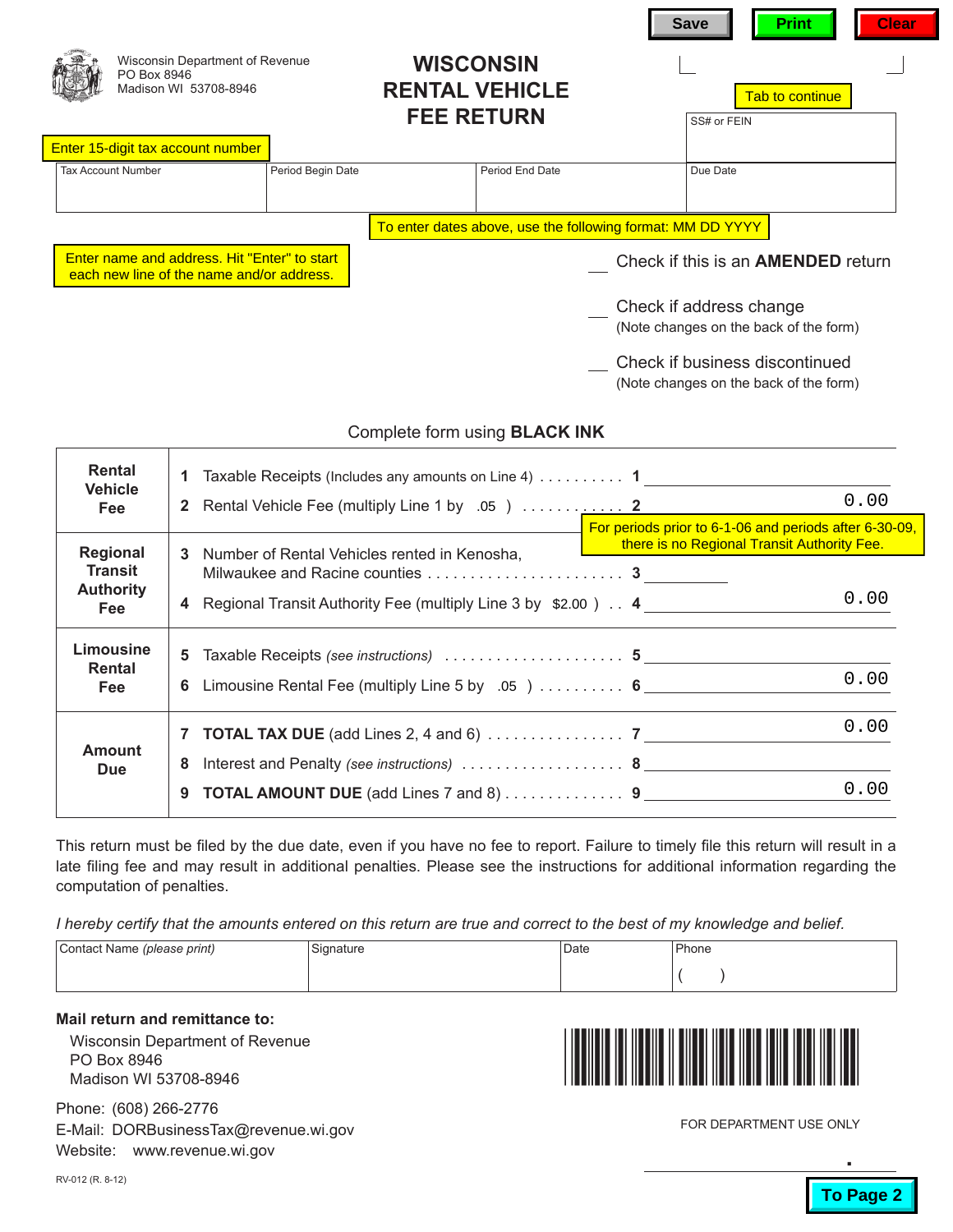|                                                                                           | Wisconsin Department of Revenue<br>PO Box 8946<br>Madison WI 53708-8946 |                                                                   | <b>WISCONSIN</b><br><b>RENTAL VEHICLE</b><br><b>FEE RETURN</b> |                 |  | <b>Save</b><br><b>Print</b><br><b>Tab to continue</b><br>SS# or FEIN |  |  | <b>Clear</b> |
|-------------------------------------------------------------------------------------------|-------------------------------------------------------------------------|-------------------------------------------------------------------|----------------------------------------------------------------|-----------------|--|----------------------------------------------------------------------|--|--|--------------|
|                                                                                           | Enter 15-digit tax account number                                       |                                                                   |                                                                |                 |  |                                                                      |  |  |              |
|                                                                                           | <b>Tax Account Number</b>                                               | Period Begin Date                                                 |                                                                | Period End Date |  | Due Date                                                             |  |  |              |
|                                                                                           |                                                                         |                                                                   | To enter dates above, use the following format: MM DD YYYY     |                 |  |                                                                      |  |  |              |
| Enter name and address. Hit "Enter" to start<br>each new line of the name and/or address. |                                                                         | Check if this is an <b>AMENDED</b> return                         |                                                                |                 |  |                                                                      |  |  |              |
|                                                                                           |                                                                         | Check if address change<br>(Note changes on the back of the form) |                                                                |                 |  |                                                                      |  |  |              |
|                                                                                           |                                                                         |                                                                   |                                                                |                 |  | Check if business discontinued                                       |  |  |              |

## Complete form using **BLACK INK**

|  | <b>Rental</b>                  | 1 Taxable Receipts (Includes any amounts on Line 4)  1          |                                                                                                       |      |  |  |  |
|--|--------------------------------|-----------------------------------------------------------------|-------------------------------------------------------------------------------------------------------|------|--|--|--|
|  | <b>Vehicle</b><br><b>Fee</b>   |                                                                 |                                                                                                       | 0.00 |  |  |  |
|  | <b>Regional</b>                |                                                                 | For periods prior to 6-1-06 and periods after 6-30-09,<br>there is no Regional Transit Authority Fee. |      |  |  |  |
|  | <b>Transit</b>                 | 3 Number of Rental Vehicles rented in Kenosha,                  |                                                                                                       |      |  |  |  |
|  | <b>Authority</b><br><b>Fee</b> | 4 Regional Transit Authority Fee (multiply Line 3 by \$2.00). 4 |                                                                                                       | 0.00 |  |  |  |
|  | Limousine<br>Rental            |                                                                 |                                                                                                       |      |  |  |  |
|  | <b>Fee</b>                     | 6 Limousine Rental Fee (multiply Line 5 by .05 )  6             |                                                                                                       | 0.00 |  |  |  |
|  |                                |                                                                 |                                                                                                       | 0.00 |  |  |  |
|  | <b>Amount</b><br><b>Due</b>    | 8                                                               |                                                                                                       |      |  |  |  |
|  |                                | <b>TOTAL AMOUNT DUE</b> (add Lines 7 and 8) 9<br>9              |                                                                                                       | 0.00 |  |  |  |
|  |                                |                                                                 |                                                                                                       |      |  |  |  |

This return must be filed by the due date, even if you have no fee to report. Failure to timely file this return will result in a late filing fee and may result in additional penalties. Please see the instructions for additional information regarding the computation of penalties.

*I hereby certify that the amounts entered on this return are true and correct to the best of my knowledge and belief.*

| Contact Name (please print) | Signature | Date | Phone |
|-----------------------------|-----------|------|-------|
|                             |           |      |       |

## **Mail return and remittance to:**

Т

Wisconsin Department of Revenue PO Box 8946 Madison WI 53708-8946

Phone: (608) 266-2776 E-Mail: DORBusinessTax@revenue.wi.gov Website: www.revenue.wi.gov



(Note changes on the back of the form)

FOR DEPARTMENT USE ONLY

**.**